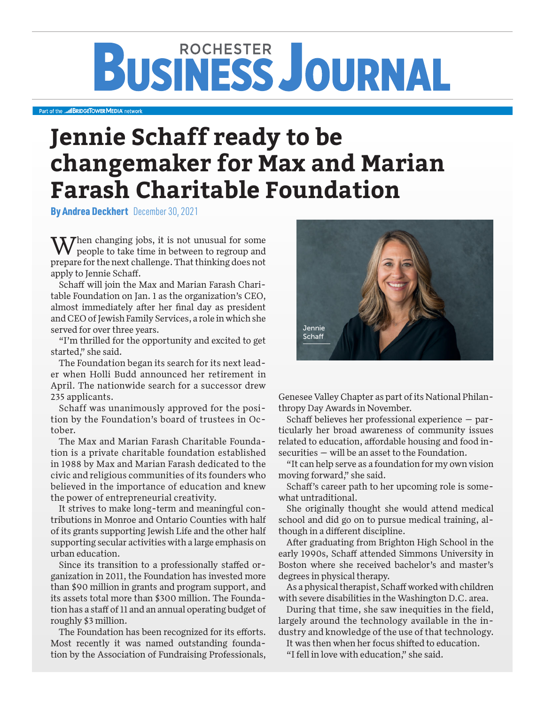# **BUSINESS JOURNAL**

#### Part of the **MBRIDGETOWER MEDIA** network

## **Jennie Schaff ready to be changemaker for Max and Marian Farash Charitable Foundation**

By Andrea Deckhert December 30, 2021

 $\sqrt{7}$  hen changing jobs, it is not unusual for some people to take time in between to regroup and prepare for the next challenge. That thinking does not apply to Jennie Schaff.

Schaff will join the Max and Marian Farash Charitable Foundation on Jan. 1 as the organization's CEO, almost immediately after her final day as president and CEO of Jewish Family Services, a role in which she served for over three years.

"I'm thrilled for the opportunity and excited to get started," she said.

The Foundation began its search for its next leader when Holli Budd announced her retirement in April. The nationwide search for a successor drew 235 applicants.

Schaff was unanimously approved for the position by the Foundation's board of trustees in October.

The Max and Marian Farash Charitable Foundation is a private charitable foundation established in 1988 by Max and Marian Farash dedicated to the civic and religious communities of its founders who believed in the importance of education and knew the power of entrepreneurial creativity.

It strives to make long-term and meaningful contributions in Monroe and Ontario Counties with half of its grants supporting Jewish Life and the other half supporting secular activities with a large emphasis on urban education.

Since its transition to a professionally staffed organization in 2011, the Foundation has invested more than \$90 million in grants and program support, and its assets total more than \$300 million. The Foundation has a staff of 11 and an annual operating budget of roughly \$3 million.

The Foundation has been recognized for its efforts. Most recently it was named outstanding foundation by the Association of Fundraising Professionals,



Genesee Valley Chapter as part of its National Philanthropy Day Awards in November.

Schaff believes her professional experience — particularly her broad awareness of community issues related to education, affordable housing and food insecurities — will be an asset to the Foundation.

"It can help serve as a foundation for my own vision moving forward," she said.

Schaff's career path to her upcoming role is somewhat untraditional.

She originally thought she would attend medical school and did go on to pursue medical training, although in a different discipline.

After graduating from Brighton High School in the early 1990s, Schaff attended Simmons University in Boston where she received bachelor's and master's degrees in physical therapy.

As a physical therapist, Schaff worked with children with severe disabilities in the Washington D.C. area.

During that time, she saw inequities in the field, largely around the technology available in the industry and knowledge of the use of that technology.

It was then when her focus shifted to education.

"I fell in love with education," she said.